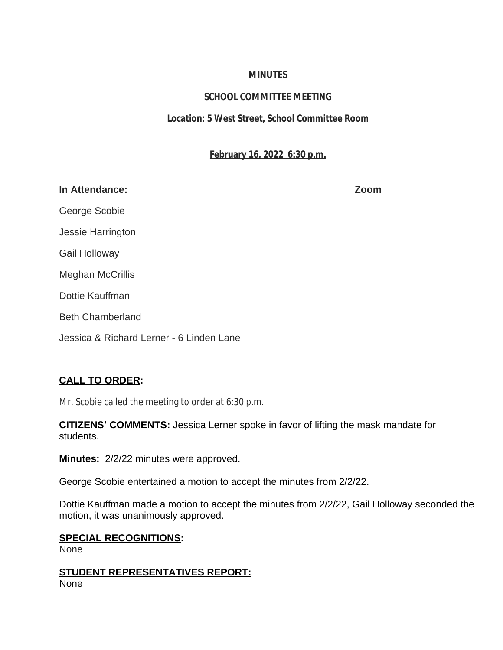## **MINUTES**

# **SCHOOL COMMITTEE MEETING**

## **Location: 5 West Street, School Committee Room**

## **February 16, 2022 6:30 p.m.**

### **In Attendance: Zoom**

George Scobie

Jessie Harrington

Gail Holloway

Meghan McCrillis

Dottie Kauffman

Beth Chamberland

Jessica & Richard Lerner - 6 Linden Lane

# **CALL TO ORDER:**

Mr. Scobie called the meeting to order at 6:30 p.m.

**CITIZENS' COMMENTS:** Jessica Lerner spoke in favor of lifting the mask mandate for students.

**Minutes:** 2/2/22 minutes were approved.

George Scobie entertained a motion to accept the minutes from 2/2/22.

Dottie Kauffman made a motion to accept the minutes from 2/2/22, Gail Holloway seconded the motion, it was unanimously approved.

## **SPECIAL RECOGNITIONS:**

None

**STUDENT REPRESENTATIVES REPORT:** None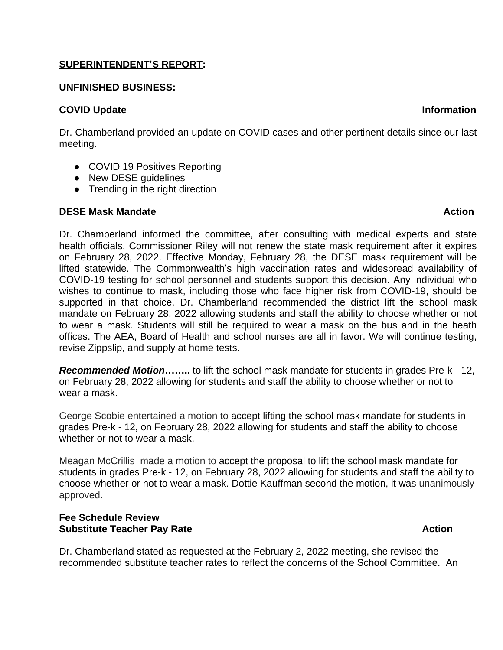### **SUPERINTENDENT'S REPORT:**

### **UNFINISHED BUSINESS:**

### **COVID Update Information**

Dr. Chamberland provided an update on COVID cases and other pertinent details since our last meeting.

- COVID 19 Positives Reporting
- New DESE guidelines
- Trending in the right direction

### **DESE Mask Mandate Action**

Dr. Chamberland informed the committee, after consulting with medical experts and state health officials, Commissioner Riley will not renew the state mask requirement after it expires on February 28, 2022. Effective Monday, February 28, the DESE mask requirement will be lifted statewide. The Commonwealth's high vaccination rates and widespread availability of COVID-19 testing for school personnel and students support this decision. Any individual who wishes to continue to mask, including those who face higher risk from COVID-19, should be supported in that choice. Dr. Chamberland recommended the district lift the school mask mandate on February 28, 2022 allowing students and staff the ability to choose whether or not to wear a mask. Students will still be required to wear a mask on the bus and in the heath offices. The AEA, Board of Health and school nurses are all in favor. We will continue testing, revise Zippslip, and supply at home tests.

*Recommended Motion***……..** to lift the school mask mandate for students in grades Pre-k - 12, on February 28, 2022 allowing for students and staff the ability to choose whether or not to wear a mask.

George Scobie entertained a motion to accept lifting the school mask mandate for students in grades Pre-k - 12, on February 28, 2022 allowing for students and staff the ability to choose whether or not to wear a mask.

Meagan McCrillis made a motion to accept the proposal to lift the school mask mandate for students in grades Pre-k - 12, on February 28, 2022 allowing for students and staff the ability to choose whether or not to wear a mask. Dottie Kauffman second the motion, it was unanimously approved.

### **Fee Schedule Review Substitute Teacher Pay Rate Action**

Dr. Chamberland stated as requested at the February 2, 2022 meeting, she revised the recommended substitute teacher rates to reflect the concerns of the School Committee. An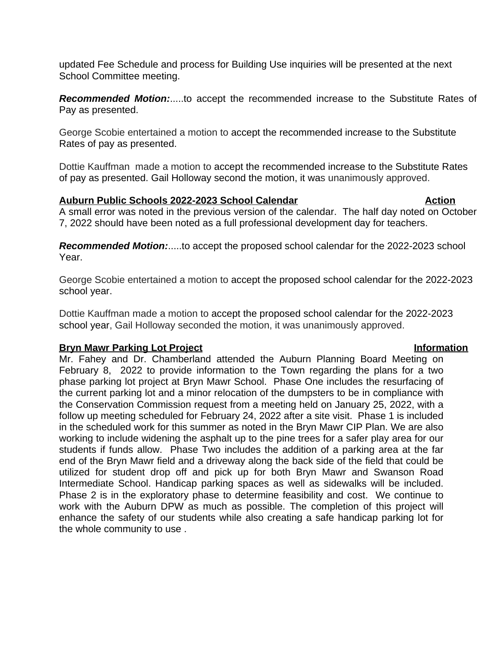updated Fee Schedule and process for Building Use inquiries will be presented at the next School Committee meeting.

*Recommended Motion:*.....to accept the recommended increase to the Substitute Rates of Pay as presented.

George Scobie entertained a motion to accept the recommended increase to the Substitute Rates of pay as presented.

Dottie Kauffman made a motion to accept the recommended increase to the Substitute Rates of pay as presented. Gail Holloway second the motion, it was unanimously approved.

### **Auburn Public Schools 2022-2023 School Calendar <b>Action** Action

A small error was noted in the previous version of the calendar. The half day noted on October 7, 2022 should have been noted as a full professional development day for teachers.

*Recommended Motion:*.....to accept the proposed school calendar for the 2022-2023 school Year.

George Scobie entertained a motion to accept the proposed school calendar for the 2022-2023 school year.

Dottie Kauffman made a motion to accept the proposed school calendar for the 2022-2023 school year, Gail Holloway seconded the motion, it was unanimously approved.

### **Bryn Mawr Parking Lot Project Information**

Mr. Fahey and Dr. Chamberland attended the Auburn Planning Board Meeting on February 8, 2022 to provide information to the Town regarding the plans for a two phase parking lot project at Bryn Mawr School. Phase One includes the resurfacing of the current parking lot and a minor relocation of the dumpsters to be in compliance with the Conservation Commission request from a meeting held on January 25, 2022, with a follow up meeting scheduled for February 24, 2022 after a site visit. Phase 1 is included in the scheduled work for this summer as noted in the Bryn Mawr CIP Plan. We are also working to include widening the asphalt up to the pine trees for a safer play area for our students if funds allow. Phase Two includes the addition of a parking area at the far end of the Bryn Mawr field and a driveway along the back side of the field that could be utilized for student drop off and pick up for both Bryn Mawr and Swanson Road Intermediate School. Handicap parking spaces as well as sidewalks will be included. Phase 2 is in the exploratory phase to determine feasibility and cost. We continue to work with the Auburn DPW as much as possible. The completion of this project will enhance the safety of our students while also creating a safe handicap parking lot for the whole community to use .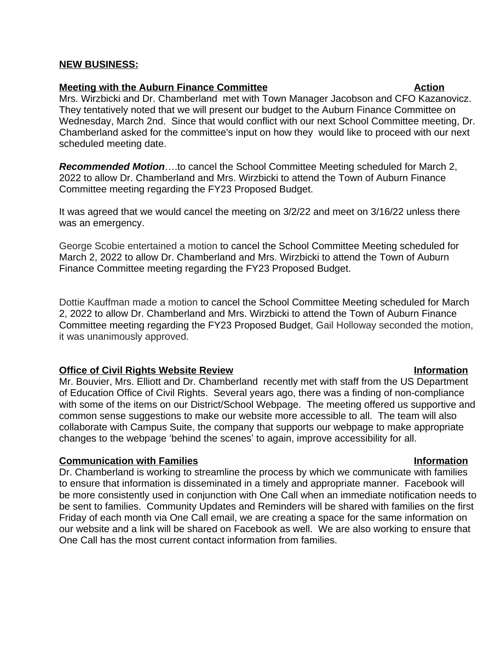### **NEW BUSINESS:**

### **Meeting with the Auburn Finance Committee Action Action**

Mrs. Wirzbicki and Dr. Chamberland met with Town Manager Jacobson and CFO Kazanovicz. They tentatively noted that we will present our budget to the Auburn Finance Committee on Wednesday, March 2nd. Since that would conflict with our next School Committee meeting, Dr. Chamberland asked for the committee's input on how they would like to proceed with our next scheduled meeting date.

*Recommended Motion*….to cancel the School Committee Meeting scheduled for March 2, 2022 to allow Dr. Chamberland and Mrs. Wirzbicki to attend the Town of Auburn Finance Committee meeting regarding the FY23 Proposed Budget.

It was agreed that we would cancel the meeting on 3/2/22 and meet on 3/16/22 unless there was an emergency.

George Scobie entertained a motion to cancel the School Committee Meeting scheduled for March 2, 2022 to allow Dr. Chamberland and Mrs. Wirzbicki to attend the Town of Auburn Finance Committee meeting regarding the FY23 Proposed Budget.

Dottie Kauffman made a motion to cancel the School Committee Meeting scheduled for March 2, 2022 to allow Dr. Chamberland and Mrs. Wirzbicki to attend the Town of Auburn Finance Committee meeting regarding the FY23 Proposed Budget, Gail Holloway seconded the motion, it was unanimously approved.

### **Office of Civil Rights Website Review Information**

Mr. Bouvier, Mrs. Elliott and Dr. Chamberland recently met with staff from the US Department of Education Office of Civil Rights. Several years ago, there was a finding of non-compliance with some of the items on our District/School Webpage. The meeting offered us supportive and common sense suggestions to make our website more accessible to all. The team will also collaborate with Campus Suite, the company that supports our webpage to make appropriate changes to the webpage 'behind the scenes' to again, improve accessibility for all.

### **Communication with Families Information**

Dr. Chamberland is working to streamline the process by which we communicate with families to ensure that information is disseminated in a timely and appropriate manner. Facebook will be more consistently used in conjunction with One Call when an immediate notification needs to be sent to families. Community Updates and Reminders will be shared with families on the first Friday of each month via One Call email, we are creating a space for the same information on our website and a link will be shared on Facebook as well. We are also working to ensure that One Call has the most current contact information from families.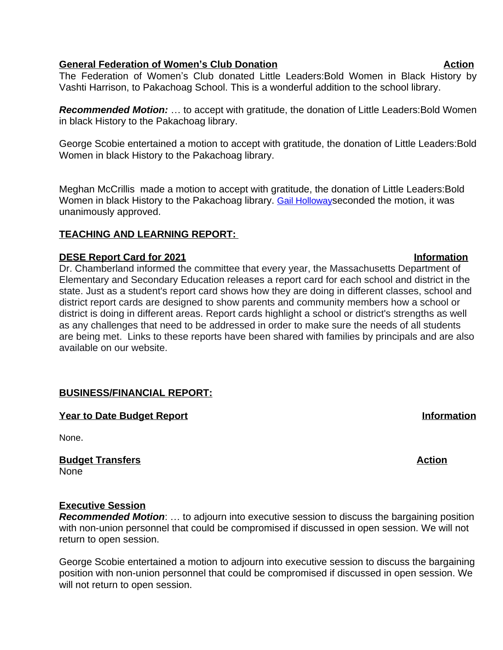### **General Federation of Women's Club Donation Action**

The Federation of Women's Club donated Little Leaders:Bold Women in Black History by Vashti Harrison, to Pakachoag School. This is a wonderful addition to the school library.

*Recommended Motion:* … to accept with gratitude, the donation of Little Leaders:Bold Women in black History to the Pakachoag library.

George Scobie entertained a motion to accept with gratitude, the donation of Little Leaders:Bold Women in black History to the Pakachoag library.

Meghan McCrillis made a motion to accept with gratitude, the donation of Little Leaders:Bold Women in black History to the Pakachoag library. [Gail Holloway](mailto:gholloway3@aol.com)seconded the motion, it was [unanimously approved.](mailto:gholloway3@aol.com) 

## **[TEACHING AND LEARNING REPORT:](mailto:gholloway3@aol.com)**

## **[DESE Report Card for 2021](mailto:gholloway3@aol.com) [Information](mailto:gholloway3@aol.com)**

[Dr. Chamberland informed the committee that every year, the Massachusetts Department of](mailto:gholloway3@aol.com)  [Elementary and Secondary Education releases a report card for each school and district in the](mailto:gholloway3@aol.com)  [state. Just as a student's report card shows how they are doing in different classes, school and](mailto:gholloway3@aol.com)  [district report cards are designed to show parents and community members how a school or](mailto:gholloway3@aol.com)  [district is doing in different areas. Report cards highlight a school or district's strengths as well](mailto:gholloway3@aol.com)  [as any challenges that need to be addressed in order to make sure the needs of all students](mailto:gholloway3@aol.com)  [are being met. Links to these reports have been shared with families by principals and are also](mailto:gholloway3@aol.com) [available on our website.](mailto:gholloway3@aol.com)

# **[BUSINESS/FINANCIAL REPORT:](mailto:gholloway3@aol.com)**

**Year to Date Budget Report in the Second Second Second Second Second Second Second Second Second Second Second Second Second Second Second Second Second Second Second Second Second Second Second Second Second Second Secon** 

[None](mailto:gholloway3@aol.com)[.](mailto:gholloway3@aol.com)

**Budget Transfers** Action [None](mailto:gholloway3@aol.com)

## **[Executive Session](mailto:gholloway3@aol.com)**

*[Recommended Motion](mailto:gholloway3@aol.com)*: … [to adjourn into executive session to discuss the bargaining position](mailto:gholloway3@aol.com) [with non-union personnel that could be compromised if discussed in open session. We will not](mailto:gholloway3@aol.com)  [return to open session.](mailto:gholloway3@aol.com) 

[George Scobie entertained a motion to adjourn into executive session to discuss the bargaining](mailto:gholloway3@aol.com) [position with non-union personnel that could be compromised if discussed in open session. We](mailto:gholloway3@aol.com)  [will not return to open session.](mailto:gholloway3@aol.com)